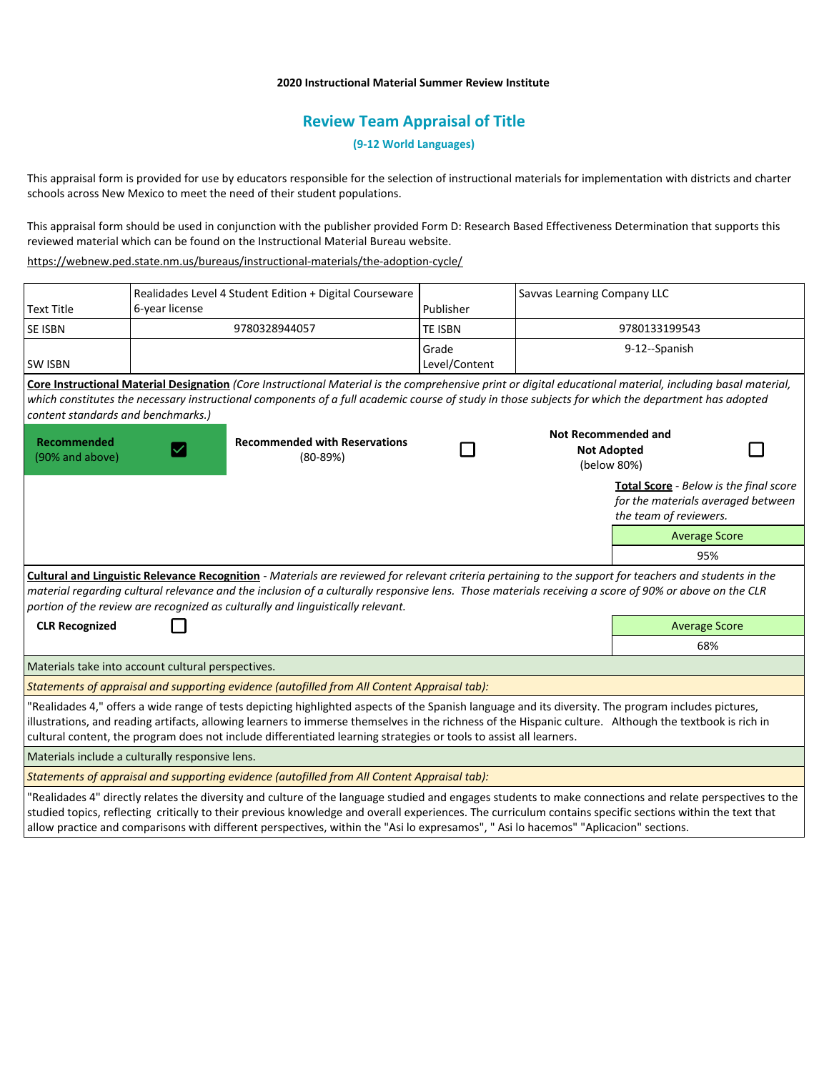## **2020 Instructional Material Summer Review Institute**

# **Review Team Appraisal of Title**

**(9-12 World Languages)**

This appraisal form is provided for use by educators responsible for the selection of instructional materials for implementation with districts and charter schools across New Mexico to meet the need of their student populations.

This appraisal form should be used in conjunction with the publisher provided Form D: Research Based Effectiveness Determination that supports this reviewed material which can be found on the Instructional Material Bureau website.

<https://webnew.ped.state.nm.us/bureaus/instructional-materials/the-adoption-cycle/>

|                                                 | Realidades Level 4 Student Edition + Digital Courseware |                                                                                                                                                                                                                                                                                                                                                                                                                                                               |                        | Savvas Learning Company LLC                                     |                        |                                                                              |
|-------------------------------------------------|---------------------------------------------------------|---------------------------------------------------------------------------------------------------------------------------------------------------------------------------------------------------------------------------------------------------------------------------------------------------------------------------------------------------------------------------------------------------------------------------------------------------------------|------------------------|-----------------------------------------------------------------|------------------------|------------------------------------------------------------------------------|
| <b>Text Title</b>                               | 6-year license                                          |                                                                                                                                                                                                                                                                                                                                                                                                                                                               | Publisher              |                                                                 |                        |                                                                              |
| <b>SE ISBN</b>                                  | 9780328944057                                           |                                                                                                                                                                                                                                                                                                                                                                                                                                                               | <b>TE ISBN</b>         | 9780133199543                                                   |                        |                                                                              |
| <b>SW ISBN</b>                                  |                                                         |                                                                                                                                                                                                                                                                                                                                                                                                                                                               | Grade<br>Level/Content | 9-12--Spanish                                                   |                        |                                                                              |
| content standards and benchmarks.)              |                                                         | Core Instructional Material Designation (Core Instructional Material is the comprehensive print or digital educational material, including basal material,<br>which constitutes the necessary instructional components of a full academic course of study in those subjects for which the department has adopted                                                                                                                                              |                        |                                                                 |                        |                                                                              |
| Recommended<br>(90% and above)                  |                                                         | <b>Recommended with Reservations</b><br>$(80-89%)$                                                                                                                                                                                                                                                                                                                                                                                                            |                        | <b>Not Recommended and</b><br><b>Not Adopted</b><br>(below 80%) |                        |                                                                              |
|                                                 |                                                         |                                                                                                                                                                                                                                                                                                                                                                                                                                                               |                        |                                                                 | the team of reviewers. | Total Score - Below is the final score<br>for the materials averaged between |
|                                                 |                                                         |                                                                                                                                                                                                                                                                                                                                                                                                                                                               |                        |                                                                 |                        | <b>Average Score</b>                                                         |
|                                                 |                                                         |                                                                                                                                                                                                                                                                                                                                                                                                                                                               |                        |                                                                 |                        | 95%                                                                          |
|                                                 |                                                         | Cultural and Linguistic Relevance Recognition - Materials are reviewed for relevant criteria pertaining to the support for teachers and students in the<br>material regarding cultural relevance and the inclusion of a culturally responsive lens. Those materials receiving a score of 90% or above on the CLR<br>portion of the review are recognized as culturally and linguistically relevant.                                                           |                        |                                                                 |                        |                                                                              |
| <b>CLR Recognized</b>                           |                                                         |                                                                                                                                                                                                                                                                                                                                                                                                                                                               |                        |                                                                 | <b>Average Score</b>   |                                                                              |
|                                                 |                                                         |                                                                                                                                                                                                                                                                                                                                                                                                                                                               |                        |                                                                 | 68%                    |                                                                              |
|                                                 | Materials take into account cultural perspectives.      |                                                                                                                                                                                                                                                                                                                                                                                                                                                               |                        |                                                                 |                        |                                                                              |
|                                                 |                                                         | Statements of appraisal and supporting evidence (autofilled from All Content Appraisal tab):                                                                                                                                                                                                                                                                                                                                                                  |                        |                                                                 |                        |                                                                              |
|                                                 |                                                         | "Realidades 4," offers a wide range of tests depicting highlighted aspects of the Spanish language and its diversity. The program includes pictures,<br>illustrations, and reading artifacts, allowing learners to immerse themselves in the richness of the Hispanic culture. Although the textbook is rich in<br>cultural content, the program does not include differentiated learning strategies or tools to assist all learners.                         |                        |                                                                 |                        |                                                                              |
| Materials include a culturally responsive lens. |                                                         |                                                                                                                                                                                                                                                                                                                                                                                                                                                               |                        |                                                                 |                        |                                                                              |
|                                                 |                                                         | Statements of appraisal and supporting evidence (autofilled from All Content Appraisal tab):                                                                                                                                                                                                                                                                                                                                                                  |                        |                                                                 |                        |                                                                              |
|                                                 |                                                         | "Realidades 4" directly relates the diversity and culture of the language studied and engages students to make connections and relate perspectives to the<br>studied topics, reflecting critically to their previous knowledge and overall experiences. The curriculum contains specific sections within the text that<br>allow practice and comparisons with different perspectives, within the "Asi lo expresamos", "Asi lo hacemos" "Aplicacion" sections. |                        |                                                                 |                        |                                                                              |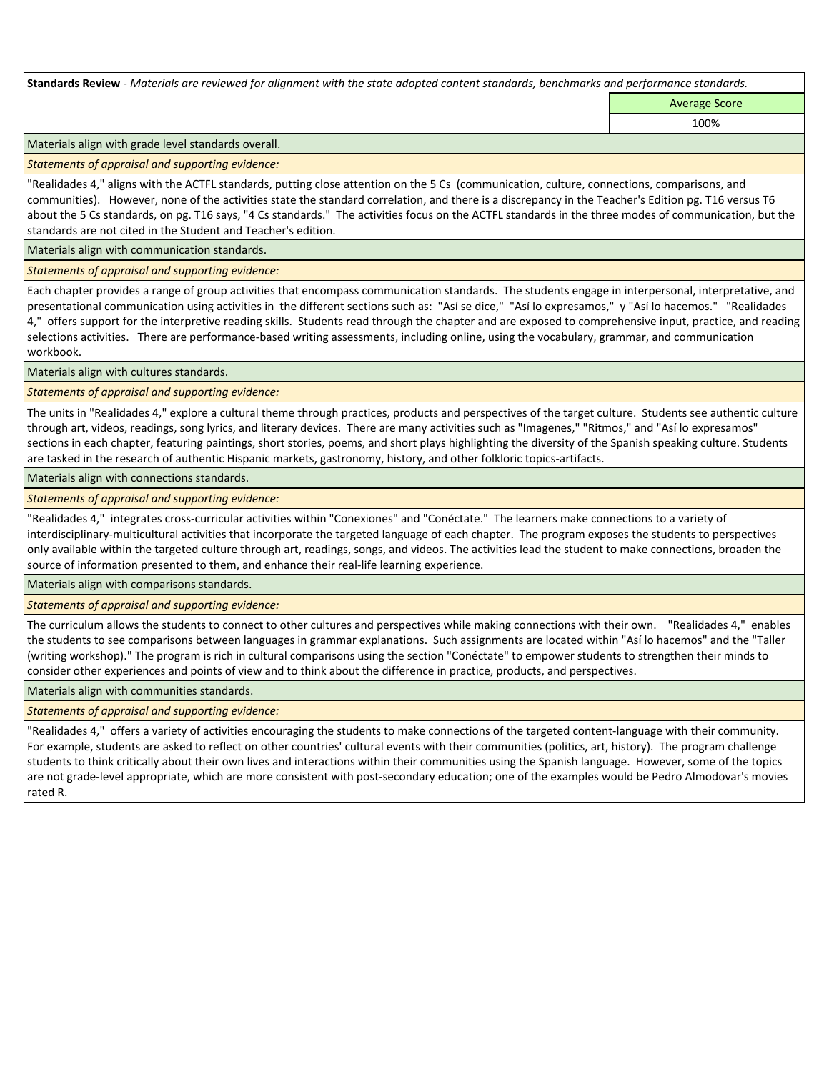**Standards Review** *- Materials are reviewed for alignment with the state adopted content standards, benchmarks and performance standards.*

Average Score 100%

Materials align with grade level standards overall.

*Statements of appraisal and supporting evidence:* 

"Realidades 4," aligns with the ACTFL standards, putting close attention on the 5 Cs (communication, culture, connections, comparisons, and communities). However, none of the activities state the standard correlation, and there is a discrepancy in the Teacher's Edition pg. T16 versus T6 about the 5 Cs standards, on pg. T16 says, "4 Cs standards." The activities focus on the ACTFL standards in the three modes of communication, but the standards are not cited in the Student and Teacher's edition.

Materials align with communication standards.

*Statements of appraisal and supporting evidence:* 

Each chapter provides a range of group activities that encompass communication standards. The students engage in interpersonal, interpretative, and presentational communication using activities in the different sections such as: "Así se dice," "Así lo expresamos," y "Así lo hacemos." "Realidades 4," offers support for the interpretive reading skills. Students read through the chapter and are exposed to comprehensive input, practice, and reading selections activities. There are performance-based writing assessments, including online, using the vocabulary, grammar, and communication workbook.

Materials align with cultures standards.

*Statements of appraisal and supporting evidence:* 

The units in "Realidades 4," explore a cultural theme through practices, products and perspectives of the target culture. Students see authentic culture through art, videos, readings, song lyrics, and literary devices. There are many activities such as "Imagenes," "Ritmos," and "Así lo expresamos" sections in each chapter, featuring paintings, short stories, poems, and short plays highlighting the diversity of the Spanish speaking culture. Students are tasked in the research of authentic Hispanic markets, gastronomy, history, and other folkloric topics-artifacts.

Materials align with connections standards.

*Statements of appraisal and supporting evidence:* 

"Realidades 4," integrates cross-curricular activities within "Conexiones" and "Conéctate." The learners make connections to a variety of interdisciplinary-multicultural activities that incorporate the targeted language of each chapter. The program exposes the students to perspectives only available within the targeted culture through art, readings, songs, and videos. The activities lead the student to make connections, broaden the source of information presented to them, and enhance their real-life learning experience.

Materials align with comparisons standards.

*Statements of appraisal and supporting evidence:* 

The curriculum allows the students to connect to other cultures and perspectives while making connections with their own. "Realidades 4," enables the students to see comparisons between languages in grammar explanations. Such assignments are located within "Así lo hacemos" and the "Taller (writing workshop)." The program is rich in cultural comparisons using the section "Conéctate" to empower students to strengthen their minds to consider other experiences and points of view and to think about the difference in practice, products, and perspectives.

Materials align with communities standards.

*Statements of appraisal and supporting evidence:* 

"Realidades 4," offers a variety of activities encouraging the students to make connections of the targeted content-language with their community. For example, students are asked to reflect on other countries' cultural events with their communities (politics, art, history). The program challenge students to think critically about their own lives and interactions within their communities using the Spanish language. However, some of the topics are not grade-level appropriate, which are more consistent with post-secondary education; one of the examples would be Pedro Almodovar's movies rated R.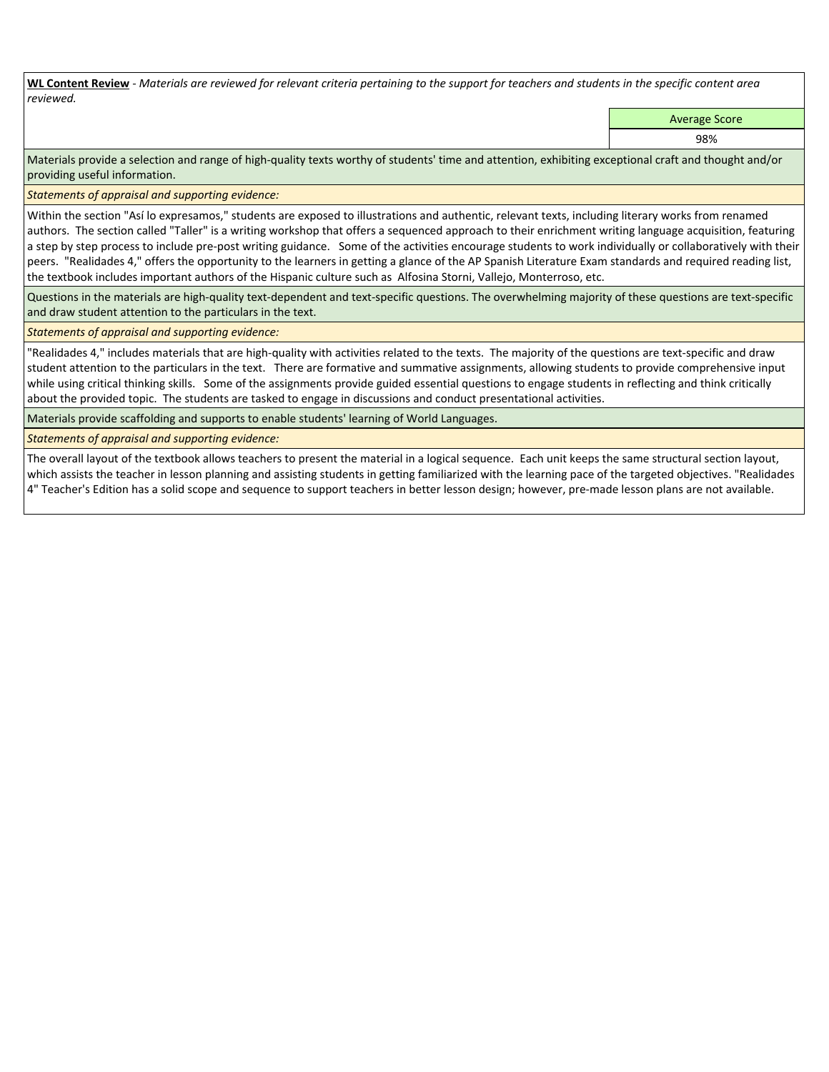**WL Content Review** *- Materials are reviewed for relevant criteria pertaining to the support for teachers and students in the specific content area reviewed.*

Average Score

98%

Materials provide a selection and range of high-quality texts worthy of students' time and attention, exhibiting exceptional craft and thought and/or providing useful information.

*Statements of appraisal and supporting evidence:* 

Within the section "Así lo expresamos," students are exposed to illustrations and authentic, relevant texts, including literary works from renamed authors. The section called "Taller" is a writing workshop that offers a sequenced approach to their enrichment writing language acquisition, featuring a step by step process to include pre-post writing guidance. Some of the activities encourage students to work individually or collaboratively with their peers. "Realidades 4," offers the opportunity to the learners in getting a glance of the AP Spanish Literature Exam standards and required reading list, the textbook includes important authors of the Hispanic culture such as Alfosina Storni, Vallejo, Monterroso, etc.

Questions in the materials are high-quality text-dependent and text-specific questions. The overwhelming majority of these questions are text-specific and draw student attention to the particulars in the text.

*Statements of appraisal and supporting evidence:* 

"Realidades 4," includes materials that are high-quality with activities related to the texts. The majority of the questions are text-specific and draw student attention to the particulars in the text. There are formative and summative assignments, allowing students to provide comprehensive input while using critical thinking skills. Some of the assignments provide guided essential questions to engage students in reflecting and think critically about the provided topic. The students are tasked to engage in discussions and conduct presentational activities.

Materials provide scaffolding and supports to enable students' learning of World Languages.

*Statements of appraisal and supporting evidence:* 

The overall layout of the textbook allows teachers to present the material in a logical sequence. Each unit keeps the same structural section layout, which assists the teacher in lesson planning and assisting students in getting familiarized with the learning pace of the targeted objectives. "Realidades 4" Teacher's Edition has a solid scope and sequence to support teachers in better lesson design; however, pre-made lesson plans are not available.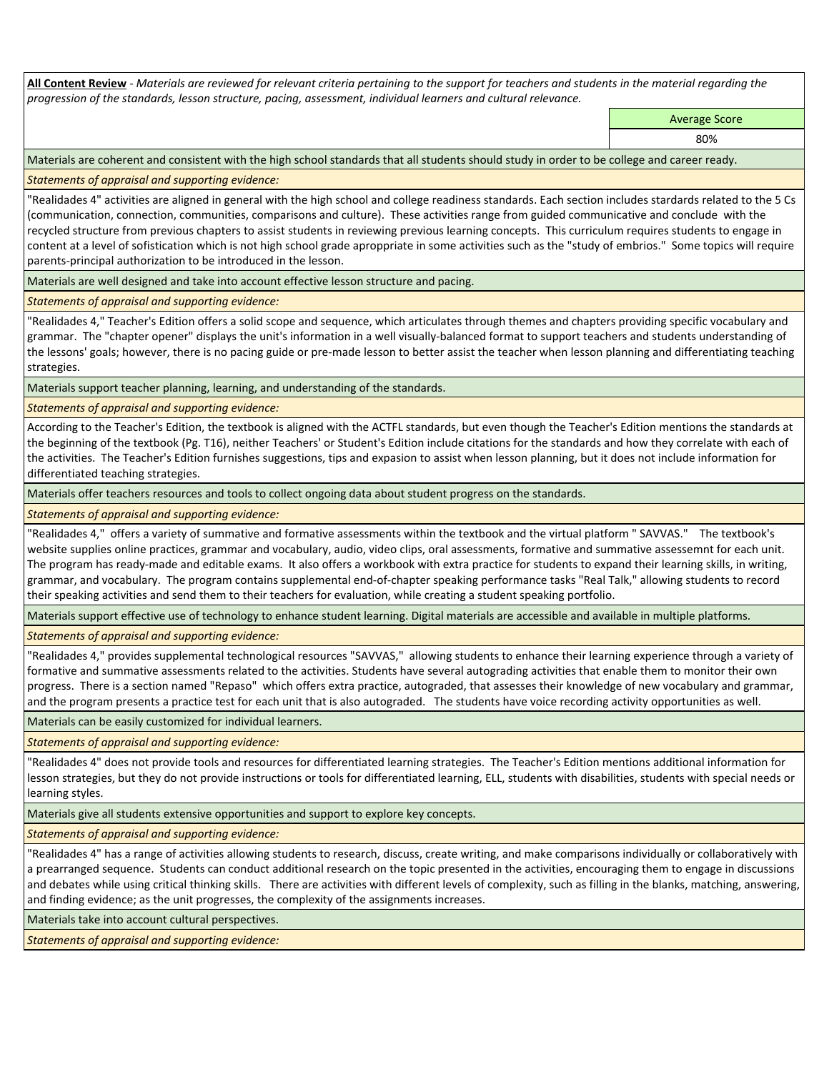**All Content Review** *- Materials are reviewed for relevant criteria pertaining to the support for teachers and students in the material regarding the progression of the standards, lesson structure, pacing, assessment, individual learners and cultural relevance.*

Average Score

80%

Materials are coherent and consistent with the high school standards that all students should study in order to be college and career ready.

*Statements of appraisal and supporting evidence:*

"Realidades 4" activities are aligned in general with the high school and college readiness standards. Each section includes stardards related to the 5 Cs (communication, connection, communities, comparisons and culture). These activities range from guided communicative and conclude with the recycled structure from previous chapters to assist students in reviewing previous learning concepts. This curriculum requires students to engage in content at a level of sofistication which is not high school grade aproppriate in some activities such as the "study of embrios." Some topics will require parents-principal authorization to be introduced in the lesson.

Materials are well designed and take into account effective lesson structure and pacing.

*Statements of appraisal and supporting evidence:*

"Realidades 4," Teacher's Edition offers a solid scope and sequence, which articulates through themes and chapters providing specific vocabulary and grammar. The "chapter opener" displays the unit's information in a well visually-balanced format to support teachers and students understanding of the lessons' goals; however, there is no pacing guide or pre-made lesson to better assist the teacher when lesson planning and differentiating teaching strategies.

Materials support teacher planning, learning, and understanding of the standards.

*Statements of appraisal and supporting evidence:*

According to the Teacher's Edition, the textbook is aligned with the ACTFL standards, but even though the Teacher's Edition mentions the standards at the beginning of the textbook (Pg. T16), neither Teachers' or Student's Edition include citations for the standards and how they correlate with each of the activities. The Teacher's Edition furnishes suggestions, tips and expasion to assist when lesson planning, but it does not include information for differentiated teaching strategies.

Materials offer teachers resources and tools to collect ongoing data about student progress on the standards.

*Statements of appraisal and supporting evidence:*

"Realidades 4," offers a variety of summative and formative assessments within the textbook and the virtual platform " SAVVAS." The textbook's website supplies online practices, grammar and vocabulary, audio, video clips, oral assessments, formative and summative assessemnt for each unit. The program has ready-made and editable exams. It also offers a workbook with extra practice for students to expand their learning skills, in writing, grammar, and vocabulary. The program contains supplemental end-of-chapter speaking performance tasks "Real Talk," allowing students to record their speaking activities and send them to their teachers for evaluation, while creating a student speaking portfolio.

Materials support effective use of technology to enhance student learning. Digital materials are accessible and available in multiple platforms.

*Statements of appraisal and supporting evidence:*

"Realidades 4," provides supplemental technological resources "SAVVAS," allowing students to enhance their learning experience through a variety of formative and summative assessments related to the activities. Students have several autograding activities that enable them to monitor their own progress. There is a section named "Repaso" which offers extra practice, autograded, that assesses their knowledge of new vocabulary and grammar, and the program presents a practice test for each unit that is also autograded. The students have voice recording activity opportunities as well.

Materials can be easily customized for individual learners.

*Statements of appraisal and supporting evidence:* 

"Realidades 4" does not provide tools and resources for differentiated learning strategies. The Teacher's Edition mentions additional information for lesson strategies, but they do not provide instructions or tools for differentiated learning, ELL, students with disabilities, students with special needs or learning styles.

Materials give all students extensive opportunities and support to explore key concepts.

*Statements of appraisal and supporting evidence:*

"Realidades 4" has a range of activities allowing students to research, discuss, create writing, and make comparisons individually or collaboratively with a prearranged sequence. Students can conduct additional research on the topic presented in the activities, encouraging them to engage in discussions and debates while using critical thinking skills. There are activities with different levels of complexity, such as filling in the blanks, matching, answering, and finding evidence; as the unit progresses, the complexity of the assignments increases.

Materials take into account cultural perspectives.

*Statements of appraisal and supporting evidence:*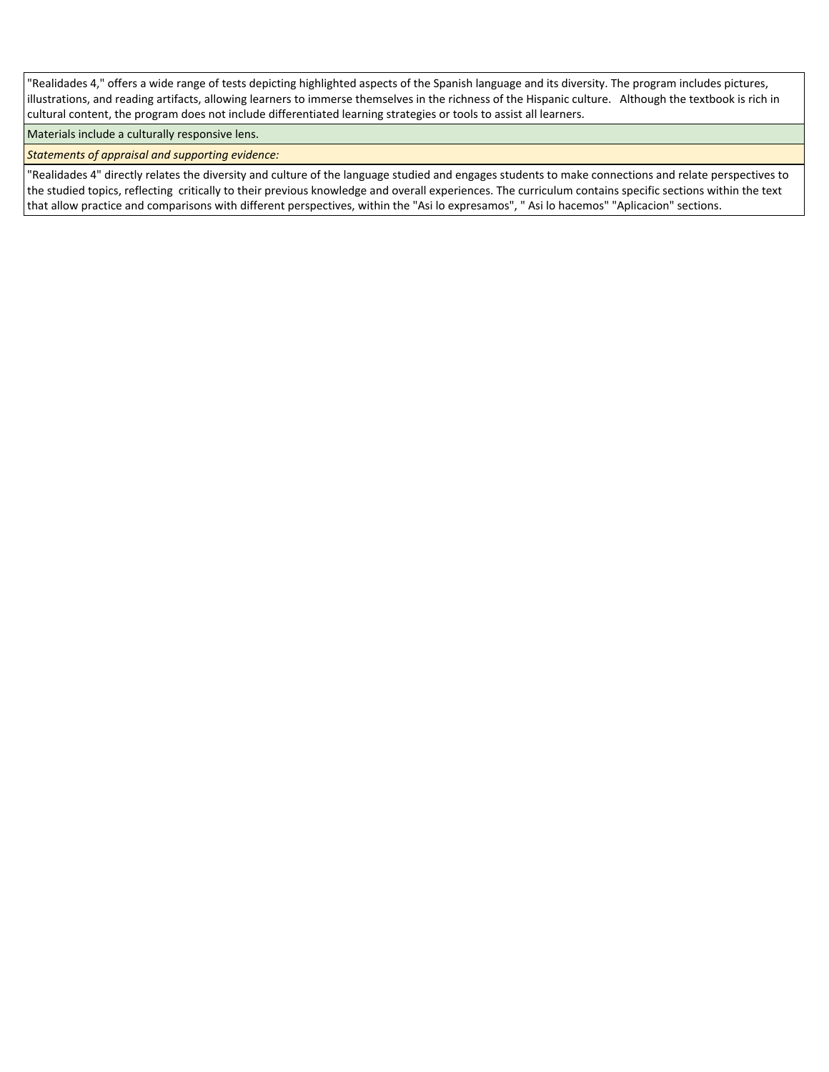"Realidades 4," offers a wide range of tests depicting highlighted aspects of the Spanish language and its diversity. The program includes pictures, illustrations, and reading artifacts, allowing learners to immerse themselves in the richness of the Hispanic culture. Although the textbook is rich in cultural content, the program does not include differentiated learning strategies or tools to assist all learners.

# Materials include a culturally responsive lens.

*Statements of appraisal and supporting evidence:*

"Realidades 4" directly relates the diversity and culture of the language studied and engages students to make connections and relate perspectives to the studied topics, reflecting critically to their previous knowledge and overall experiences. The curriculum contains specific sections within the text that allow practice and comparisons with different perspectives, within the "Asi lo expresamos", " Asi lo hacemos" "Aplicacion" sections.